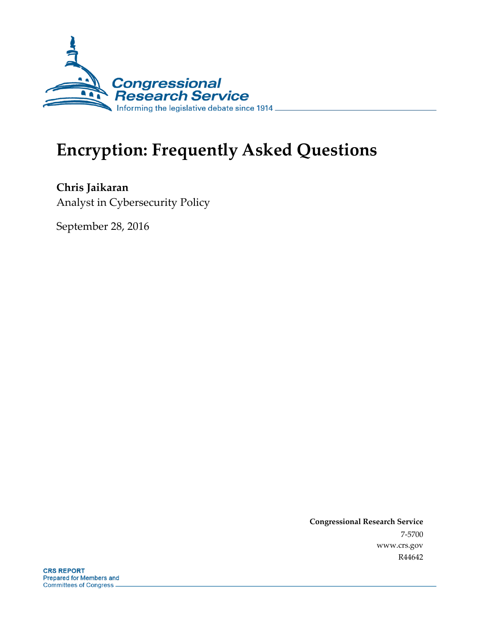

# **Encryption: Frequently Asked Questions**

**Chris Jaikaran** Analyst in Cybersecurity Policy

September 28, 2016

**Congressional Research Service** 7-5700 www.crs.gov R44642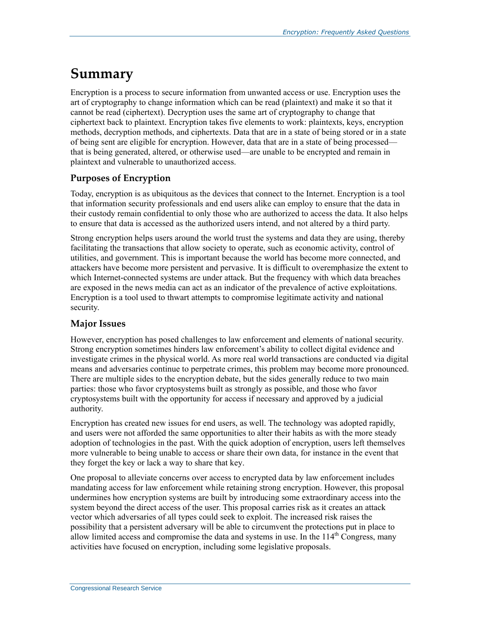# **Summary**

Encryption is a process to secure information from unwanted access or use. Encryption uses the art of cryptography to change information which can be read (plaintext) and make it so that it cannot be read (ciphertext). Decryption uses the same art of cryptography to change that ciphertext back to plaintext. Encryption takes five elements to work: plaintexts, keys, encryption methods, decryption methods, and ciphertexts. Data that are in a state of being stored or in a state of being sent are eligible for encryption. However, data that are in a state of being processed that is being generated, altered, or otherwise used—are unable to be encrypted and remain in plaintext and vulnerable to unauthorized access.

#### **Purposes of Encryption**

Today, encryption is as ubiquitous as the devices that connect to the Internet. Encryption is a tool that information security professionals and end users alike can employ to ensure that the data in their custody remain confidential to only those who are authorized to access the data. It also helps to ensure that data is accessed as the authorized users intend, and not altered by a third party.

Strong encryption helps users around the world trust the systems and data they are using, thereby facilitating the transactions that allow society to operate, such as economic activity, control of utilities, and government. This is important because the world has become more connected, and attackers have become more persistent and pervasive. It is difficult to overemphasize the extent to which Internet-connected systems are under attack. But the frequency with which data breaches are exposed in the news media can act as an indicator of the prevalence of active exploitations. Encryption is a tool used to thwart attempts to compromise legitimate activity and national security.

#### **Major Issues**

However, encryption has posed challenges to law enforcement and elements of national security. Strong encryption sometimes hinders law enforcement's ability to collect digital evidence and investigate crimes in the physical world. As more real world transactions are conducted via digital means and adversaries continue to perpetrate crimes, this problem may become more pronounced. There are multiple sides to the encryption debate, but the sides generally reduce to two main parties: those who favor cryptosystems built as strongly as possible, and those who favor cryptosystems built with the opportunity for access if necessary and approved by a judicial authority.

Encryption has created new issues for end users, as well. The technology was adopted rapidly, and users were not afforded the same opportunities to alter their habits as with the more steady adoption of technologies in the past. With the quick adoption of encryption, users left themselves more vulnerable to being unable to access or share their own data, for instance in the event that they forget the key or lack a way to share that key.

One proposal to alleviate concerns over access to encrypted data by law enforcement includes mandating access for law enforcement while retaining strong encryption. However, this proposal undermines how encryption systems are built by introducing some extraordinary access into the system beyond the direct access of the user. This proposal carries risk as it creates an attack vector which adversaries of all types could seek to exploit. The increased risk raises the possibility that a persistent adversary will be able to circumvent the protections put in place to allow limited access and compromise the data and systems in use. In the  $114<sup>th</sup>$  Congress, many activities have focused on encryption, including some legislative proposals.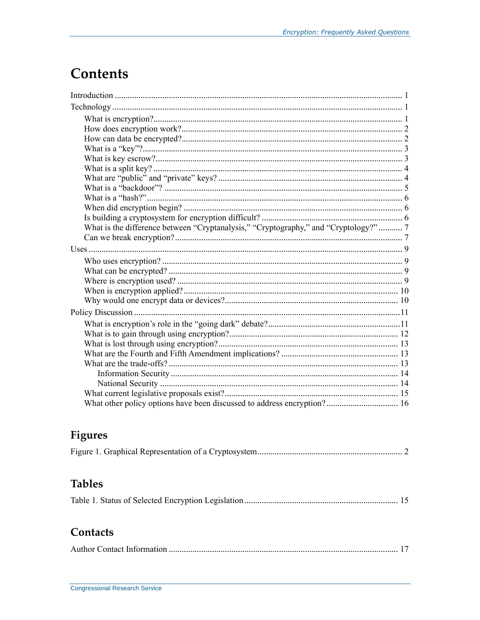# **Contents**

| What is the difference between "Cryptanalysis," "Cryptography," and "Cryptology?"  7 |  |
|--------------------------------------------------------------------------------------|--|
|                                                                                      |  |
|                                                                                      |  |
|                                                                                      |  |
|                                                                                      |  |
|                                                                                      |  |
|                                                                                      |  |
|                                                                                      |  |
|                                                                                      |  |
|                                                                                      |  |
|                                                                                      |  |
|                                                                                      |  |
|                                                                                      |  |
|                                                                                      |  |
|                                                                                      |  |
|                                                                                      |  |
|                                                                                      |  |
|                                                                                      |  |

## **Figures**

## **Tables**

|--|--|--|--|--|

## Contacts

|--|--|--|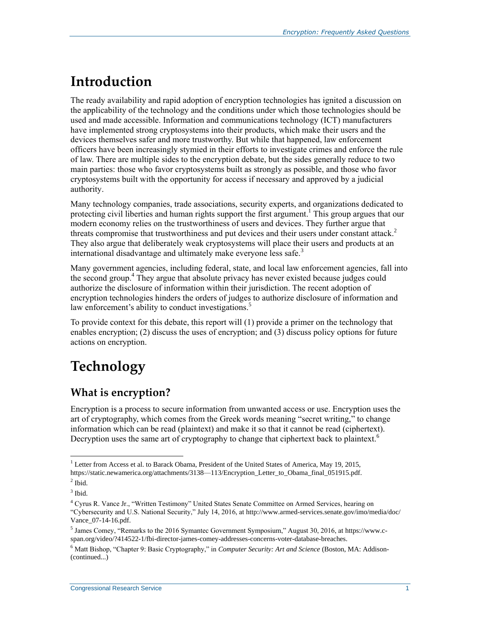# **Introduction**

The ready availability and rapid adoption of encryption technologies has ignited a discussion on the applicability of the technology and the conditions under which those technologies should be used and made accessible. Information and communications technology (ICT) manufacturers have implemented strong cryptosystems into their products, which make their users and the devices themselves safer and more trustworthy. But while that happened, law enforcement officers have been increasingly stymied in their efforts to investigate crimes and enforce the rule of law. There are multiple sides to the encryption debate, but the sides generally reduce to two main parties: those who favor cryptosystems built as strongly as possible, and those who favor cryptosystems built with the opportunity for access if necessary and approved by a judicial authority.

Many technology companies, trade associations, security experts, and organizations dedicated to protecting civil liberties and human rights support the first argument.<sup>1</sup> This group argues that our modern economy relies on the trustworthiness of users and devices. They further argue that threats compromise that trustworthiness and put devices and their users under constant attack. 2 They also argue that deliberately weak cryptosystems will place their users and products at an international disadvantage and ultimately make everyone less safe.<sup>3</sup>

Many government agencies, including federal, state, and local law enforcement agencies, fall into the second group.<sup>4</sup> They argue that absolute privacy has never existed because judges could authorize the disclosure of information within their jurisdiction. The recent adoption of encryption technologies hinders the orders of judges to authorize disclosure of information and law enforcement's ability to conduct investigations.<sup>5</sup>

To provide context for this debate, this report will (1) provide a primer on the technology that enables encryption; (2) discuss the uses of encryption; and (3) discuss policy options for future actions on encryption.

# **Technology**

## **What is encryption?**

Encryption is a process to secure information from unwanted access or use. Encryption uses the art of cryptography, which comes from the Greek words meaning "secret writing," to change information which can be read (plaintext) and make it so that it cannot be read (ciphertext). Decryption uses the same art of cryptography to change that ciphertext back to plaintext.<sup>6</sup>

 $\overline{a}$ <sup>1</sup> Letter from Access et al. to Barack Obama, President of the United States of America, May 19, 2015, https://static.newamerica.org/attachments/3138—113/Encryption\_Letter\_to\_Obama\_final\_051915.pdf.

 $<sup>2</sup>$  Ibid.</sup>

 $3$  Ibid.

<sup>4</sup> Cyrus R. Vance Jr., "Written Testimony" United States Senate Committee on Armed Services, hearing on

<sup>&</sup>quot;Cybersecurity and U.S. National Security," July 14, 2016, at http://www.armed-services.senate.gov/imo/media/doc/ Vance\_07-14-16.pdf.

<sup>&</sup>lt;sup>5</sup> James Comey, "Remarks to the 2016 Symantec Government Symposium," August 30, 2016, at https://www.cspan.org/video/?414522-1/fbi-director-james-comey-addresses-concerns-voter-database-breaches.

<sup>6</sup> Matt Bishop, "Chapter 9: Basic Cryptography," in *Computer Security: Art and Science* (Boston, MA: Addison- (continued...)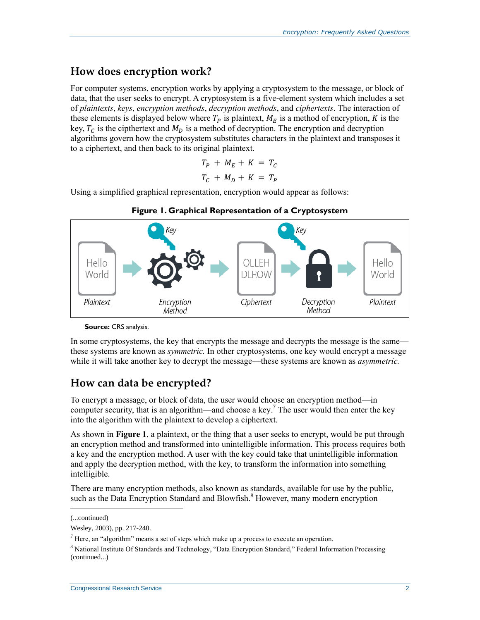### **How does encryption work?**

For computer systems, encryption works by applying a cryptosystem to the message, or block of data, that the user seeks to encrypt. A cryptosystem is a five-element system which includes a set of *plaintexts*, *keys*, *encryption methods*, *decryption methods*, and *ciphertexts*. The interaction of these elements is displayed below where  $T_p$  is plaintext,  $M_E$  is a method of encryption, K is the key,  $T_c$  is the cipthertext and  $M_D$  is a method of decryption. The encryption and decryption algorithms govern how the cryptosystem substitutes characters in the plaintext and transposes it to a ciphertext, and then back to its original plaintext.

$$
T_P + M_E + K = T_C
$$
  

$$
T_C + M_D + K = T_P
$$

Using a simplified graphical representation, encryption would appear as follows:

<span id="page-4-0"></span>



#### **Source:** CRS analysis.

In some cryptosystems, the key that encrypts the message and decrypts the message is the same these systems are known as *symmetric.* In other cryptosystems, one key would encrypt a message while it will take another key to decrypt the message—these systems are known as *asymmetric.*

### **How can data be encrypted?**

To encrypt a message, or block of data, the user would choose an encryption method—in computer security, that is an algorithm—and choose a key.<sup>7</sup> The user would then enter the key into the algorithm with the plaintext to develop a ciphertext.

As shown in **[Figure 1](#page-4-0)**, a plaintext, or the thing that a user seeks to encrypt, would be put through an encryption method and transformed into unintelligible information. This process requires both a key and the encryption method. A user with the key could take that unintelligible information and apply the decryption method, with the key, to transform the information into something intelligible.

There are many encryption methods, also known as standards, available for use by the public, such as the Data Encryption Standard and Blowfish.<sup>8</sup> However, many modern encryption

l

<sup>(...</sup>continued)

Wesley, 2003), pp. 217-240.

 $<sup>7</sup>$  Here, an "algorithm" means a set of steps which make up a process to execute an operation.</sup>

<sup>8</sup> National Institute Of Standards and Technology, "Data Encryption Standard," Federal Information Processing (continued...)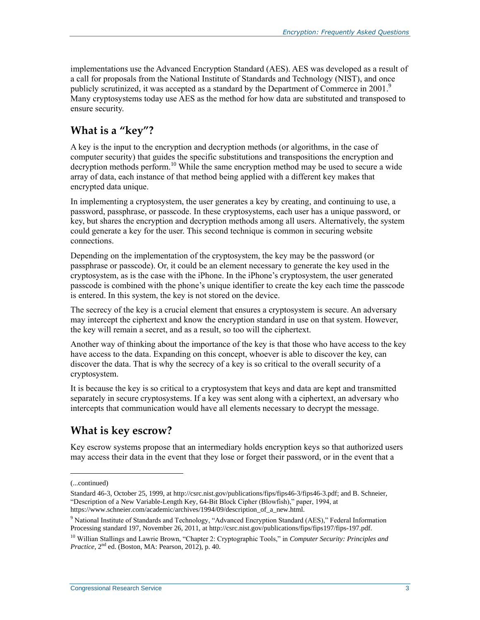implementations use the Advanced Encryption Standard (AES). AES was developed as a result of a call for proposals from the National Institute of Standards and Technology (NIST), and once publicly scrutinized, it was accepted as a standard by the Department of Commerce in 2001.<sup>9</sup> Many cryptosystems today use AES as the method for how data are substituted and transposed to ensure security.

## **What is a "key"?**

A key is the input to the encryption and decryption methods (or algorithms, in the case of computer security) that guides the specific substitutions and transpositions the encryption and decryption methods perform.<sup>10</sup> While the same encryption method may be used to secure a wide array of data, each instance of that method being applied with a different key makes that encrypted data unique.

In implementing a cryptosystem, the user generates a key by creating, and continuing to use, a password, passphrase, or passcode. In these cryptosystems, each user has a unique password, or key, but shares the encryption and decryption methods among all users. Alternatively, the system could generate a key for the user. This second technique is common in securing website connections.

Depending on the implementation of the cryptosystem, the key may be the password (or passphrase or passcode). Or, it could be an element necessary to generate the key used in the cryptosystem, as is the case with the iPhone. In the iPhone's cryptosystem, the user generated passcode is combined with the phone's unique identifier to create the key each time the passcode is entered. In this system, the key is not stored on the device.

The secrecy of the key is a crucial element that ensures a cryptosystem is secure. An adversary may intercept the ciphertext and know the encryption standard in use on that system. However, the key will remain a secret, and as a result, so too will the ciphertext.

Another way of thinking about the importance of the key is that those who have access to the key have access to the data. Expanding on this concept, whoever is able to discover the key, can discover the data. That is why the secrecy of a key is so critical to the overall security of a cryptosystem.

It is because the key is so critical to a cryptosystem that keys and data are kept and transmitted separately in secure cryptosystems. If a key was sent along with a ciphertext, an adversary who intercepts that communication would have all elements necessary to decrypt the message.

## **What is key escrow?**

Key escrow systems propose that an intermediary holds encryption keys so that authorized users may access their data in the event that they lose or forget their password, or in the event that a

<sup>(...</sup>continued)

Standard 46-3, October 25, 1999, at http://csrc.nist.gov/publications/fips/fips46-3/fips46-3.pdf; and B. Schneier, "Description of a New Variable-Length Key, 64-Bit Block Cipher (Blowfish)," paper, 1994, at https://www.schneier.com/academic/archives/1994/09/description\_of\_a\_new.html.

<sup>&</sup>lt;sup>9</sup> National Institute of Standards and Technology, "Advanced Encryption Standard (AES)," Federal Information Processing standard 197, November 26, 2011, at http://csrc.nist.gov/publications/fips/fips197/fips-197.pdf.

<sup>10</sup> Willian Stallings and Lawrie Brown, "Chapter 2: Cryptographic Tools," in *Computer Security: Principles and Practice*,  $2<sup>nd</sup>$  ed. (Boston, MA: Pearson, 2012), p. 40.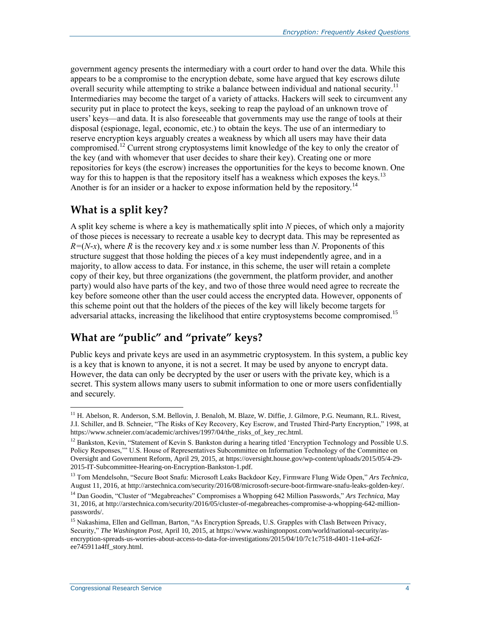government agency presents the intermediary with a court order to hand over the data. While this appears to be a compromise to the encryption debate, some have argued that key escrows dilute overall security while attempting to strike a balance between individual and national security.<sup>11</sup> Intermediaries may become the target of a variety of attacks. Hackers will seek to circumvent any security put in place to protect the keys, seeking to reap the payload of an unknown trove of users' keys—and data. It is also foreseeable that governments may use the range of tools at their disposal (espionage, legal, economic, etc.) to obtain the keys. The use of an intermediary to reserve encryption keys arguably creates a weakness by which all users may have their data compromised.<sup>12</sup> Current strong cryptosystems limit knowledge of the key to only the creator of the key (and with whomever that user decides to share their key). Creating one or more repositories for keys (the escrow) increases the opportunities for the keys to become known. One way for this to happen is that the repository itself has a weakness which exposes the keys.<sup>13</sup> Another is for an insider or a hacker to expose information held by the repository.<sup>14</sup>

## **What is a split key?**

A split key scheme is where a key is mathematically split into *N* pieces, of which only a majority of those pieces is necessary to recreate a usable key to decrypt data. This may be represented as  $R=(N-x)$ , where *R* is the recovery key and *x* is some number less than *N*. Proponents of this structure suggest that those holding the pieces of a key must independently agree, and in a majority, to allow access to data. For instance, in this scheme, the user will retain a complete copy of their key, but three organizations (the government, the platform provider, and another party) would also have parts of the key, and two of those three would need agree to recreate the key before someone other than the user could access the encrypted data. However, opponents of this scheme point out that the holders of the pieces of the key will likely become targets for adversarial attacks, increasing the likelihood that entire cryptosystems become compromised.<sup>15</sup>

## **What are "public" and "private" keys?**

Public keys and private keys are used in an asymmetric cryptosystem. In this system, a public key is a key that is known to anyone, it is not a secret. It may be used by anyone to encrypt data. However, the data can only be decrypted by the user or users with the private key, which is a secret. This system allows many users to submit information to one or more users confidentially and securely.

<sup>&</sup>lt;sup>11</sup> H. Abelson, R. Anderson, S.M. Bellovin, J. Benaloh, M. Blaze, W. Diffie, J. Gilmore, P.G. Neumann, R.L. Rivest, J.I. Schiller, and B. Schneier, "The Risks of Key Recovery, Key Escrow, and Trusted Third-Party Encryption," 1998, at https://www.schneier.com/academic/archives/1997/04/the\_risks\_of\_key\_rec.html.

<sup>&</sup>lt;sup>12</sup> Bankston, Kevin, "Statement of Kevin S. Bankston during a hearing titled 'Encryption Technology and Possible U.S. Policy Responses,'" U.S. House of Representatives Subcommittee on Information Technology of the Committee on Oversight and Government Reform, April 29, 2015, at https://oversight.house.gov/wp-content/uploads/2015/05/4-29- 2015-IT-Subcommittee-Hearing-on-Encryption-Bankston-1.pdf.

<sup>13</sup> Tom Mendelsohn, "Secure Boot Snafu: Microsoft Leaks Backdoor Key, Firmware Flung Wide Open," *Ars Technica*, August 11, 2016, at http://arstechnica.com/security/2016/08/microsoft-secure-boot-firmware-snafu-leaks-golden-key/.

<sup>14</sup> Dan Goodin, "Cluster of "Megabreaches" Compromises a Whopping 642 Million Passwords," *Ars Technica*, May 31, 2016, at http://arstechnica.com/security/2016/05/cluster-of-megabreaches-compromise-a-whopping-642-millionpasswords/.

<sup>&</sup>lt;sup>15</sup> Nakashima, Ellen and Gellman, Barton, "As Encryption Spreads, U.S. Grapples with Clash Between Privacy, Security," *The Washington Post,* April 10, 2015, at https://www.washingtonpost.com/world/national-security/asencryption-spreads-us-worries-about-access-to-data-for-investigations/2015/04/10/7c1c7518-d401-11e4-a62fee745911a4ff\_story.html.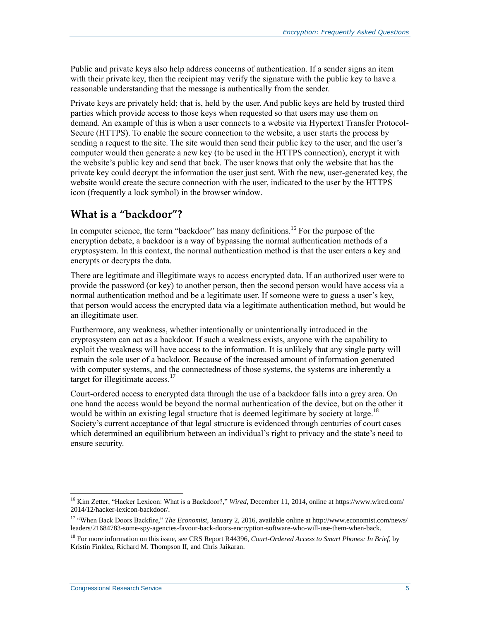Public and private keys also help address concerns of authentication. If a sender signs an item with their private key, then the recipient may verify the signature with the public key to have a reasonable understanding that the message is authentically from the sender.

Private keys are privately held; that is, held by the user. And public keys are held by trusted third parties which provide access to those keys when requested so that users may use them on demand. An example of this is when a user connects to a website via Hypertext Transfer Protocol-Secure (HTTPS). To enable the secure connection to the website, a user starts the process by sending a request to the site. The site would then send their public key to the user, and the user's computer would then generate a new key (to be used in the HTTPS connection), encrypt it with the website's public key and send that back. The user knows that only the website that has the private key could decrypt the information the user just sent. With the new, user-generated key, the website would create the secure connection with the user, indicated to the user by the HTTPS icon (frequently a lock symbol) in the browser window.

## **What is a "backdoor"?**

In computer science, the term "backdoor" has many definitions.<sup>16</sup> For the purpose of the encryption debate, a backdoor is a way of bypassing the normal authentication methods of a cryptosystem. In this context, the normal authentication method is that the user enters a key and encrypts or decrypts the data.

There are legitimate and illegitimate ways to access encrypted data. If an authorized user were to provide the password (or key) to another person, then the second person would have access via a normal authentication method and be a legitimate user. If someone were to guess a user's key, that person would access the encrypted data via a legitimate authentication method, but would be an illegitimate user.

Furthermore, any weakness, whether intentionally or unintentionally introduced in the cryptosystem can act as a backdoor. If such a weakness exists, anyone with the capability to exploit the weakness will have access to the information. It is unlikely that any single party will remain the sole user of a backdoor. Because of the increased amount of information generated with computer systems, and the connectedness of those systems, the systems are inherently a target for illegitimate access.<sup>17</sup>

Court-ordered access to encrypted data through the use of a backdoor falls into a grey area. On one hand the access would be beyond the normal authentication of the device, but on the other it would be within an existing legal structure that is deemed legitimate by society at large.<sup>18</sup> Society's current acceptance of that legal structure is evidenced through centuries of court cases which determined an equilibrium between an individual's right to privacy and the state's need to ensure security.

 $\overline{a}$ <sup>16</sup> Kim Zetter, "Hacker Lexicon: What is a Backdoor?," *Wired*, December 11, 2014, online at https://www.wired.com/ 2014/12/hacker-lexicon-backdoor/.

<sup>17</sup> "When Back Doors Backfire," *The Economist*, January 2, 2016, available online at http://www.economist.com/news/ leaders/21684783-some-spy-agencies-favour-back-doors-encryption-software-who-will-use-them-when-back.

<sup>18</sup> For more information on this issue, see CRS Report R44396, *Court-Ordered Access to Smart Phones: In Brief*, by Kristin Finklea, Richard M. Thompson II, and Chris Jaikaran.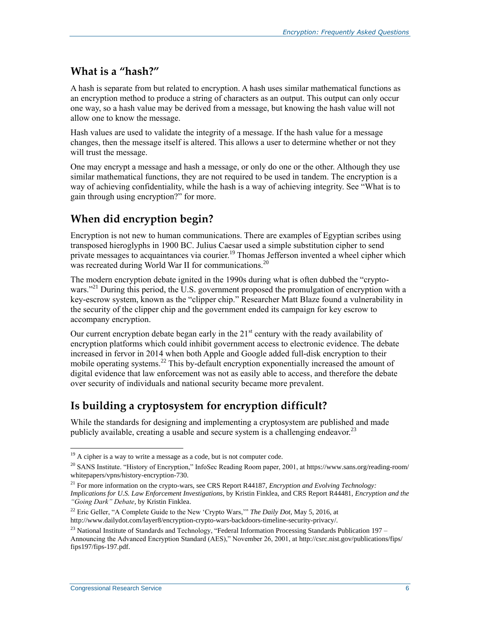### **What is a "hash?"**

A hash is separate from but related to encryption. A hash uses similar mathematical functions as an encryption method to produce a string of characters as an output. This output can only occur one way, so a hash value may be derived from a message, but knowing the hash value will not allow one to know the message.

Hash values are used to validate the integrity of a message. If the hash value for a message changes, then the message itself is altered. This allows a user to determine whether or not they will trust the message.

One may encrypt a message and hash a message, or only do one or the other. Although they use similar mathematical functions, they are not required to be used in tandem. The encryption is a way of achieving confidentiality, while the hash is a way of achieving integrity. See ["What is to](#page-14-0)  [gain through using encryption?"](#page-14-0) for more.

## **When did encryption begin?**

Encryption is not new to human communications. There are examples of Egyptian scribes using transposed hieroglyphs in 1900 BC. Julius Caesar used a simple substitution cipher to send private messages to acquaintances via courier.<sup>19</sup> Thomas Jefferson invented a wheel cipher which was recreated during World War II for communications.<sup>20</sup>

The modern encryption debate ignited in the 1990s during what is often dubbed the "cryptowars."<sup>21</sup> During this period, the U.S. government proposed the promulgation of encryption with a key-escrow system, known as the "clipper chip." Researcher Matt Blaze found a vulnerability in the security of the clipper chip and the government ended its campaign for key escrow to accompany encryption.

Our current encryption debate began early in the  $21<sup>st</sup>$  century with the ready availability of encryption platforms which could inhibit government access to electronic evidence. The debate increased in fervor in 2014 when both Apple and Google added full-disk encryption to their mobile operating systems.<sup>22</sup> This by-default encryption exponentially increased the amount of digital evidence that law enforcement was not as easily able to access, and therefore the debate over security of individuals and national security became more prevalent.

## **Is building a cryptosystem for encryption difficult?**

While the standards for designing and implementing a cryptosystem are published and made publicly available, creating a usable and secure system is a challenging endeavor.<sup>23</sup>

 $19$  A cipher is a way to write a message as a code, but is not computer code.

<sup>&</sup>lt;sup>20</sup> SANS Institute. "History of Encryption," InfoSec Reading Room paper, 2001, at https://www.sans.org/reading-room/ whitepapers/vpns/history-encryption-730.

<sup>21</sup> For more information on the crypto-wars, see CRS Report R44187, *Encryption and Evolving Technology: Implications for U.S. Law Enforcement Investigations*, by Kristin Finklea, and CRS Report R44481, *Encryption and the "Going Dark" Debate*, by Kristin Finklea.

<sup>22</sup> Eric Geller, "A Complete Guide to the New 'Crypto Wars,'" *The Daily Dot*, May 5, 2016, at http://www.dailydot.com/layer8/encryption-crypto-wars-backdoors-timeline-security-privacy/.

<sup>&</sup>lt;sup>23</sup> National Institute of Standards and Technology, "Federal Information Processing Standards Publication 197 – Announcing the Advanced Encryption Standard (AES)," November 26, 2001, at http://csrc.nist.gov/publications/fips/ fips197/fips-197.pdf.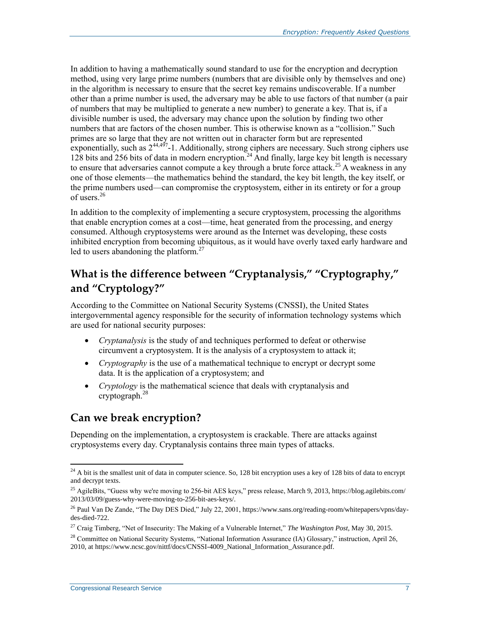In addition to having a mathematically sound standard to use for the encryption and decryption method, using very large prime numbers (numbers that are divisible only by themselves and one) in the algorithm is necessary to ensure that the secret key remains undiscoverable. If a number other than a prime number is used, the adversary may be able to use factors of that number (a pair of numbers that may be multiplied to generate a new number) to generate a key. That is, if a divisible number is used, the adversary may chance upon the solution by finding two other numbers that are factors of the chosen number. This is otherwise known as a "collision." Such primes are so large that they are not written out in character form but are represented exponentially, such as  $2^{44,497}$ -1. Additionally, strong ciphers are necessary. Such strong ciphers use 128 bits and 256 bits of data in modern encryption.<sup>24</sup> And finally, large key bit length is necessary to ensure that adversaries cannot compute a key through a brute force attack.<sup>25</sup> A weakness in any one of those elements—the mathematics behind the standard, the key bit length, the key itself, or the prime numbers used—can compromise the cryptosystem, either in its entirety or for a group of users  $^{26}$ 

In addition to the complexity of implementing a secure cryptosystem, processing the algorithms that enable encryption comes at a cost—time, heat generated from the processing, and energy consumed. Although cryptosystems were around as the Internet was developing, these costs inhibited encryption from becoming ubiquitous, as it would have overly taxed early hardware and led to users abandoning the platform. $27$ 

## **What is the difference between "Cryptanalysis," "Cryptography," and "Cryptology?"**

According to the Committee on National Security Systems (CNSSI), the United States intergovernmental agency responsible for the security of information technology systems which are used for national security purposes:

- *Cryptanalysis* is the study of and techniques performed to defeat or otherwise circumvent a cryptosystem. It is the analysis of a cryptosystem to attack it;
- *Cryptography* is the use of a mathematical technique to encrypt or decrypt some data. It is the application of a cryptosystem; and
- *Cryptology* is the mathematical science that deals with cryptanalysis and cryptograph.<sup>28</sup>

### **Can we break encryption?**

Depending on the implementation, a cryptosystem is crackable. There are attacks against cryptosystems every day. Cryptanalysis contains three main types of attacks.

 $24$  A bit is the smallest unit of data in computer science. So, 128 bit encryption uses a key of 128 bits of data to encrypt and decrypt texts.

<sup>&</sup>lt;sup>25</sup> AgileBits, "Guess why we're moving to 256-bit AES keys," press release, March 9, 2013, https://blog.agilebits.com/ 2013/03/09/guess-why-were-moving-to-256-bit-aes-keys/.

<sup>&</sup>lt;sup>26</sup> Paul Van De Zande, "The Day DES Died," July 22, 2001, https://www.sans.org/reading-room/whitepapers/vpns/daydes-died-722.

<sup>27</sup> Craig Timberg, "Net of Insecurity: The Making of a Vulnerable Internet," *The Washington Post*, May 30, 2015.

<sup>&</sup>lt;sup>28</sup> Committee on National Security Systems, "National Information Assurance (IA) Glossary," instruction, April 26, 2010, at https://www.ncsc.gov/nittf/docs/CNSSI-4009\_National\_Information\_Assurance.pdf.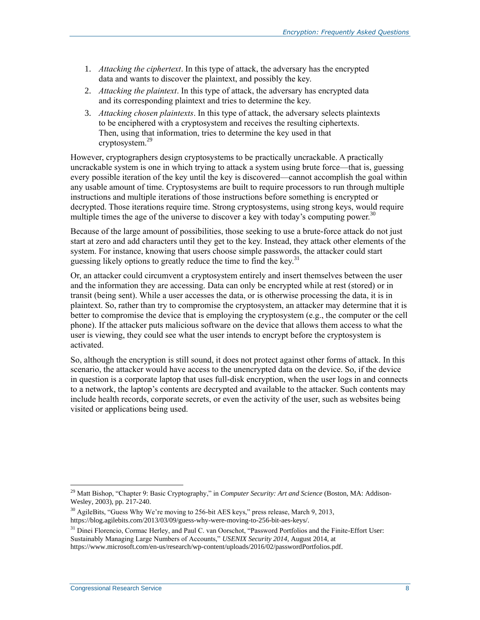- 1. *Attacking the ciphertext*. In this type of attack, the adversary has the encrypted data and wants to discover the plaintext, and possibly the key.
- 2. *Attacking the plaintext*. In this type of attack, the adversary has encrypted data and its corresponding plaintext and tries to determine the key.
- 3. *Attacking chosen plaintexts*. In this type of attack, the adversary selects plaintexts to be enciphered with a cryptosystem and receives the resulting ciphertexts. Then, using that information, tries to determine the key used in that cryptosystem. 29

However, cryptographers design cryptosystems to be practically uncrackable. A practically uncrackable system is one in which trying to attack a system using brute force—that is, guessing every possible iteration of the key until the key is discovered—cannot accomplish the goal within any usable amount of time. Cryptosystems are built to require processors to run through multiple instructions and multiple iterations of those instructions before something is encrypted or decrypted. Those iterations require time. Strong cryptosystems, using strong keys, would require multiple times the age of the universe to discover a key with today's computing power.<sup>30</sup>

Because of the large amount of possibilities, those seeking to use a brute-force attack do not just start at zero and add characters until they get to the key. Instead, they attack other elements of the system. For instance, knowing that users choose simple passwords, the attacker could start guessing likely options to greatly reduce the time to find the key.<sup>31</sup>

Or, an attacker could circumvent a cryptosystem entirely and insert themselves between the user and the information they are accessing. Data can only be encrypted while at rest (stored) or in transit (being sent). While a user accesses the data, or is otherwise processing the data, it is in plaintext. So, rather than try to compromise the cryptosystem, an attacker may determine that it is better to compromise the device that is employing the cryptosystem (e.g., the computer or the cell phone). If the attacker puts malicious software on the device that allows them access to what the user is viewing, they could see what the user intends to encrypt before the cryptosystem is activated.

So, although the encryption is still sound, it does not protect against other forms of attack. In this scenario, the attacker would have access to the unencrypted data on the device. So, if the device in question is a corporate laptop that uses full-disk encryption, when the user logs in and connects to a network, the laptop's contents are decrypted and available to the attacker. Such contents may include health records, corporate secrets, or even the activity of the user, such as websites being visited or applications being used.

<sup>29</sup> Matt Bishop, "Chapter 9: Basic Cryptography," in *Computer Security: Art and Science* (Boston, MA: Addison-Wesley, 2003), pp. 217-240.

<sup>&</sup>lt;sup>30</sup> AgileBits, "Guess Why We're moving to 256-bit AES keys," press release, March 9, 2013, https://blog.agilebits.com/2013/03/09/guess-why-were-moving-to-256-bit-aes-keys/.

<sup>&</sup>lt;sup>31</sup> Dinei Florencio, Cormac Herley, and Paul C. van Oorschot, "Password Portfolios and the Finite-Effort User: Sustainably Managing Large Numbers of Accounts," *USENIX Security 2014,* August 2014, at https://www.microsoft.com/en-us/research/wp-content/uploads/2016/02/passwordPortfolios.pdf.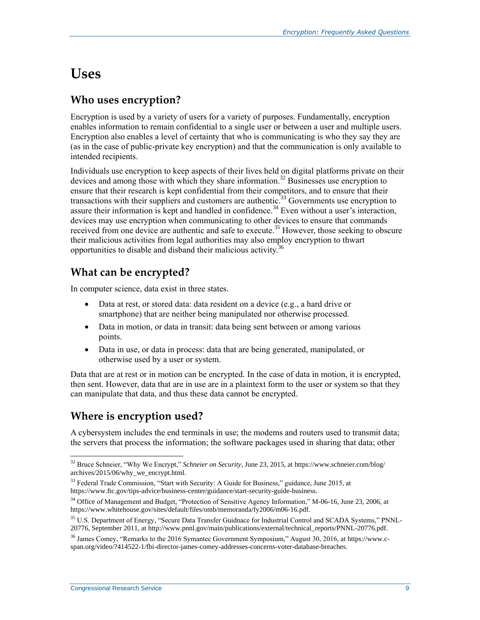## **Uses**

## **Who uses encryption?**

Encryption is used by a variety of users for a variety of purposes. Fundamentally, encryption enables information to remain confidential to a single user or between a user and multiple users. Encryption also enables a level of certainty that who is communicating is who they say they are (as in the case of public-private key encryption) and that the communication is only available to intended recipients.

Individuals use encryption to keep aspects of their lives held on digital platforms private on their devices and among those with which they share information.<sup>32</sup> Businesses use encryption to ensure that their research is kept confidential from their competitors, and to ensure that their transactions with their suppliers and customers are authentic.<sup>33</sup> Governments use encryption to assure their information is kept and handled in confidence.<sup>34</sup> Even without a user's interaction, devices may use encryption when communicating to other devices to ensure that commands received from one device are authentic and safe to execute.<sup>35</sup> However, those seeking to obscure their malicious activities from legal authorities may also employ encryption to thwart opportunities to disable and disband their malicious activity.<sup>36</sup>

## **What can be encrypted?**

In computer science, data exist in three states.

- Data at rest, or stored data: data resident on a device (e.g., a hard drive or smartphone) that are neither being manipulated nor otherwise processed.
- Data in motion, or data in transit: data being sent between or among various points.
- Data in use, or data in process: data that are being generated, manipulated, or otherwise used by a user or system.

Data that are at rest or in motion can be encrypted. In the case of data in motion, it is encrypted, then sent. However, data that are in use are in a plaintext form to the user or system so that they can manipulate that data, and thus these data cannot be encrypted.

### **Where is encryption used?**

A cybersystem includes the end terminals in use; the modems and routers used to transmit data; the servers that process the information; the software packages used in sharing that data; other

<sup>32</sup> Bruce Schneier, "Why We Encrypt," *Schneier on Security*, June 23, 2015, at https://www.schneier.com/blog/ archives/2015/06/why\_we\_encrypt.html.

<sup>&</sup>lt;sup>33</sup> Federal Trade Commission, "Start with Security: A Guide for Business," guidance, June 2015, at https://www.ftc.gov/tips-advice/business-center/guidance/start-security-guide-business.

<sup>&</sup>lt;sup>34</sup> Office of Management and Budget, "Protection of Sensitive Agency Information," M-06-16, June 23, 2006, at https://www.whitehouse.gov/sites/default/files/omb/memoranda/fy2006/m06-16.pdf.

<sup>&</sup>lt;sup>35</sup> U.S. Department of Energy, "Secure Data Transfer Guidnace for Industrial Control and SCADA Systems," PNNL-20776, September 2011, at http://www.pnnl.gov/main/publications/external/technical\_reports/PNNL-20776.pdf.

<sup>36</sup> James Comey, "Remarks to the 2016 Symantec Government Symposium," August 30, 2016, at https://www.cspan.org/video/?414522-1/fbi-director-james-comey-addresses-concerns-voter-database-breaches.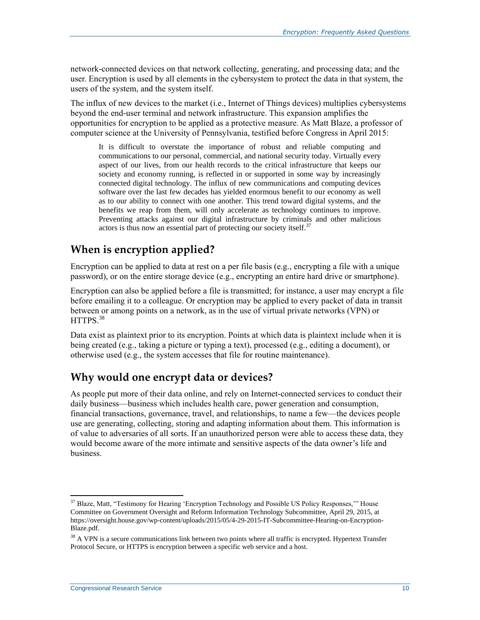network-connected devices on that network collecting, generating, and processing data; and the user. Encryption is used by all elements in the cybersystem to protect the data in that system, the users of the system, and the system itself.

The influx of new devices to the market (i.e., Internet of Things devices) multiplies cybersystems beyond the end-user terminal and network infrastructure. This expansion amplifies the opportunities for encryption to be applied as a protective measure. As Matt Blaze, a professor of computer science at the University of Pennsylvania, testified before Congress in April 2015:

It is difficult to overstate the importance of robust and reliable computing and communications to our personal, commercial, and national security today. Virtually every aspect of our lives, from our health records to the critical infrastructure that keeps our society and economy running, is reflected in or supported in some way by increasingly connected digital technology. The influx of new communications and computing devices software over the last few decades has yielded enormous benefit to our economy as well as to our ability to connect with one another. This trend toward digital systems, and the benefits we reap from them, will only accelerate as technology continues to improve. Preventing attacks against our digital infrastructure by criminals and other malicious actors is thus now an essential part of protecting our society itself. $37$ 

## **When is encryption applied?**

Encryption can be applied to data at rest on a per file basis (e.g., encrypting a file with a unique password), or on the entire storage device (e.g., encrypting an entire hard drive or smartphone).

Encryption can also be applied before a file is transmitted; for instance, a user may encrypt a file before emailing it to a colleague. Or encryption may be applied to every packet of data in transit between or among points on a network, as in the use of virtual private networks (VPN) or HTTPS<sup>38</sup>

Data exist as plaintext prior to its encryption. Points at which data is plaintext include when it is being created (e.g., taking a picture or typing a text), processed (e.g., editing a document), or otherwise used (e.g., the system accesses that file for routine maintenance).

## **Why would one encrypt data or devices?**

As people put more of their data online, and rely on Internet-connected services to conduct their daily business—business which includes health care, power generation and consumption, financial transactions, governance, travel, and relationships, to name a few—the devices people use are generating, collecting, storing and adapting information about them. This information is of value to adversaries of all sorts. If an unauthorized person were able to access these data, they would become aware of the more intimate and sensitive aspects of the data owner's life and business.

 $\overline{a}$ <sup>37</sup> Blaze, Matt, "Testimony for Hearing 'Encryption Technology and Possible US Policy Responses," House Committee on Government Oversight and Reform Information Technology Subcommittee, April 29, 2015, at https://oversight.house.gov/wp-content/uploads/2015/05/4-29-2015-IT-Subcommittee-Hearing-on-Encryption-Blaze.pdf.

<sup>&</sup>lt;sup>38</sup> A VPN is a secure communications link between two points where all traffic is encrypted. Hypertext Transfer Protocol Secure, or HTTPS is encryption between a specific web service and a host.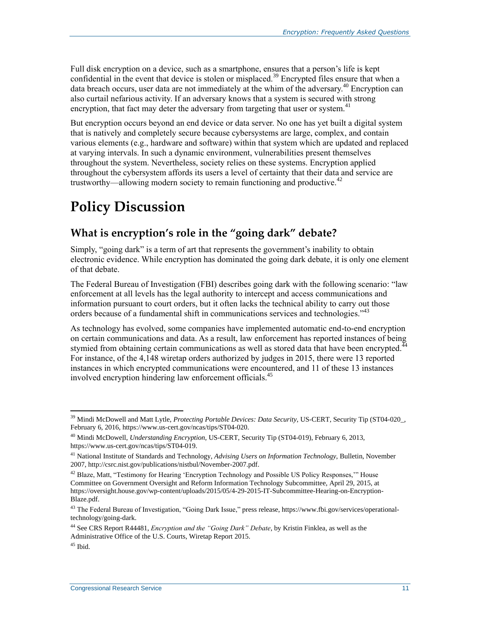Full disk encryption on a device, such as a smartphone, ensures that a person's life is kept confidential in the event that device is stolen or misplaced.<sup>39</sup> Encrypted files ensure that when a data breach occurs, user data are not immediately at the whim of the adversary.<sup>40</sup> Encryption can also curtail nefarious activity. If an adversary knows that a system is secured with strong encryption, that fact may deter the adversary from targeting that user or system.<sup>41</sup>

But encryption occurs beyond an end device or data server. No one has yet built a digital system that is natively and completely secure because cybersystems are large, complex, and contain various elements (e.g., hardware and software) within that system which are updated and replaced at varying intervals. In such a dynamic environment, vulnerabilities present themselves throughout the system. Nevertheless, society relies on these systems. Encryption applied throughout the cybersystem affords its users a level of certainty that their data and service are trustworthy—allowing modern society to remain functioning and productive.<sup>42</sup>

# **Policy Discussion**

## **What is encryption's role in the "going dark" debate?**

Simply, "going dark" is a term of art that represents the government's inability to obtain electronic evidence. While encryption has dominated the going dark debate, it is only one element of that debate.

The Federal Bureau of Investigation (FBI) describes going dark with the following scenario: "law enforcement at all levels has the legal authority to intercept and access communications and information pursuant to court orders, but it often lacks the technical ability to carry out those orders because of a fundamental shift in communications services and technologies.<sup>343</sup>

As technology has evolved, some companies have implemented automatic end-to-end encryption on certain communications and data. As a result, law enforcement has reported instances of being stymied from obtaining certain communications as well as stored data that have been encrypted.<sup>4</sup> For instance, of the 4,148 wiretap orders authorized by judges in 2015, there were 13 reported instances in which encrypted communications were encountered, and 11 of these 13 instances involved encryption hindering law enforcement officials.<sup>45</sup>

 $\overline{a}$ <sup>39</sup> Mindi McDowell and Matt Lytle, *Protecting Portable Devices: Data Security*, US-CERT, Security Tip (ST04-020<sub>-</sub>, February 6, 2016, https://www.us-cert.gov/ncas/tips/ST04-020.

<sup>40</sup> Mindi McDowell, *Understanding Encryption*, US-CERT, Security Tip (ST04-019), February 6, 2013, https://www.us-cert.gov/ncas/tips/ST04-019.

<sup>41</sup> National Institute of Standards and Technology, *Advising Users on Information Technology*, Bulletin, November 2007, http://csrc.nist.gov/publications/nistbul/November-2007.pdf.

<sup>&</sup>lt;sup>42</sup> Blaze, Matt, "Testimony for Hearing 'Encryption Technology and Possible US Policy Responses," House Committee on Government Oversight and Reform Information Technology Subcommittee, April 29, 2015, at https://oversight.house.gov/wp-content/uploads/2015/05/4-29-2015-IT-Subcommittee-Hearing-on-Encryption-Blaze.pdf.

<sup>&</sup>lt;sup>43</sup> The Federal Bureau of Investigation, "Going Dark Issue," press release, https://www.fbi.gov/services/operationaltechnology/going-dark.

<sup>44</sup> See CRS Report R44481, *Encryption and the "Going Dark" Debate*, by Kristin Finklea, as well as the Administrative Office of the U.S. Courts, Wiretap Report 2015.

 $45$  Ibid.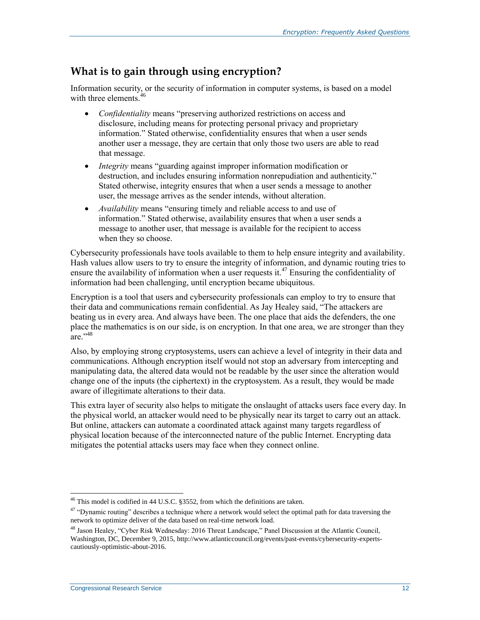### <span id="page-14-0"></span>**What is to gain through using encryption?**

Information security, or the security of information in computer systems, is based on a model with three elements.<sup>46</sup>

- *Confidentiality* means "preserving authorized restrictions on access and disclosure, including means for protecting personal privacy and proprietary information." Stated otherwise, confidentiality ensures that when a user sends another user a message, they are certain that only those two users are able to read that message.
- *Integrity* means "guarding against improper information modification or destruction, and includes ensuring information nonrepudiation and authenticity." Stated otherwise, integrity ensures that when a user sends a message to another user, the message arrives as the sender intends, without alteration.
- *Availability* means "ensuring timely and reliable access to and use of information." Stated otherwise, availability ensures that when a user sends a message to another user, that message is available for the recipient to access when they so choose.

Cybersecurity professionals have tools available to them to help ensure integrity and availability. Hash values allow users to try to ensure the integrity of information, and dynamic routing tries to ensure the availability of information when a user requests it.<sup>47</sup> Ensuring the confidentiality of information had been challenging, until encryption became ubiquitous.

Encryption is a tool that users and cybersecurity professionals can employ to try to ensure that their data and communications remain confidential. As Jay Healey said, "The attackers are beating us in every area. And always have been. The one place that aids the defenders, the one place the mathematics is on our side, is on encryption. In that one area, we are stronger than they are." $48$ 

Also, by employing strong cryptosystems, users can achieve a level of integrity in their data and communications. Although encryption itself would not stop an adversary from intercepting and manipulating data, the altered data would not be readable by the user since the alteration would change one of the inputs (the ciphertext) in the cryptosystem. As a result, they would be made aware of illegitimate alterations to their data.

This extra layer of security also helps to mitigate the onslaught of attacks users face every day. In the physical world, an attacker would need to be physically near its target to carry out an attack. But online, attackers can automate a coordinated attack against many targets regardless of physical location because of the interconnected nature of the public Internet. Encrypting data mitigates the potential attacks users may face when they connect online.

 $\overline{a}$  $46$  This model is codified in 44 U.S.C. §3552, from which the definitions are taken.

<sup>&</sup>lt;sup>47</sup> "Dynamic routing" describes a technique where a network would select the optimal path for data traversing the network to optimize deliver of the data based on real-time network load.

<sup>48</sup> Jason Healey, "Cyber Risk Wednesday: 2016 Threat Landscape," Panel Discussion at the Atlantic Council, Washington, DC, December 9, 2015, http://www.atlanticcouncil.org/events/past-events/cybersecurity-expertscautiously-optimistic-about-2016.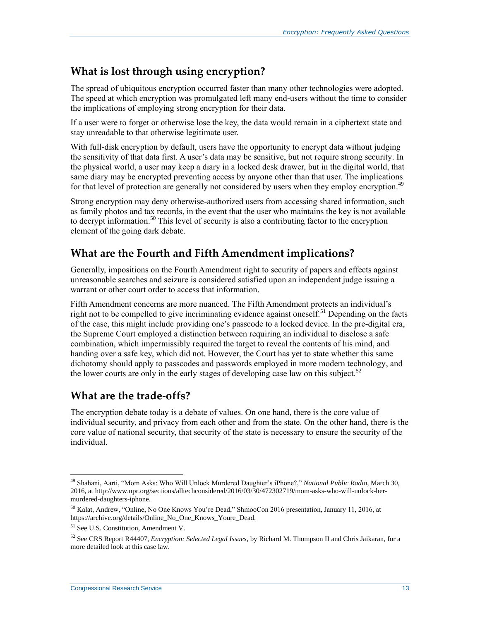### **What is lost through using encryption?**

The spread of ubiquitous encryption occurred faster than many other technologies were adopted. The speed at which encryption was promulgated left many end-users without the time to consider the implications of employing strong encryption for their data.

If a user were to forget or otherwise lose the key, the data would remain in a ciphertext state and stay unreadable to that otherwise legitimate user.

With full-disk encryption by default, users have the opportunity to encrypt data without judging the sensitivity of that data first. A user's data may be sensitive, but not require strong security. In the physical world, a user may keep a diary in a locked desk drawer, but in the digital world, that same diary may be encrypted preventing access by anyone other than that user. The implications for that level of protection are generally not considered by users when they employ encryption.<sup>49</sup>

Strong encryption may deny otherwise-authorized users from accessing shared information, such as family photos and tax records, in the event that the user who maintains the key is not available to decrypt information.<sup>50</sup> This level of security is also a contributing factor to the encryption element of the going dark debate.

### **What are the Fourth and Fifth Amendment implications?**

Generally, impositions on the Fourth Amendment right to security of papers and effects against unreasonable searches and seizure is considered satisfied upon an independent judge issuing a warrant or other court order to access that information.

Fifth Amendment concerns are more nuanced. The Fifth Amendment protects an individual's right not to be compelled to give incriminating evidence against oneself.<sup>51</sup> Depending on the facts of the case, this might include providing one's passcode to a locked device. In the pre-digital era, the Supreme Court employed a distinction between requiring an individual to disclose a safe combination, which impermissibly required the target to reveal the contents of his mind, and handing over a safe key, which did not. However, the Court has yet to state whether this same dichotomy should apply to passcodes and passwords employed in more modern technology, and the lower courts are only in the early stages of developing case law on this subject.<sup>52</sup>

### **What are the trade-offs?**

The encryption debate today is a debate of values. On one hand, there is the core value of individual security, and privacy from each other and from the state. On the other hand, there is the core value of national security, that security of the state is necessary to ensure the security of the individual.

<sup>49</sup> Shahani, Aarti, "Mom Asks: Who Will Unlock Murdered Daughter's iPhone?," *National Public Radio*, March 30, 2016, at http://www.npr.org/sections/alltechconsidered/2016/03/30/472302719/mom-asks-who-will-unlock-hermurdered-daughters-iphone.

<sup>50</sup> Kalat, Andrew, "Online, No One Knows You're Dead," ShmooCon 2016 presentation, January 11, 2016, at https://archive.org/details/Online\_No\_One\_Knows\_Youre\_Dead.

<sup>51</sup> See U.S. Constitution, Amendment V.

<sup>52</sup> See CRS Report R44407, *Encryption: Selected Legal Issues*, by Richard M. Thompson II and Chris Jaikaran, for a more detailed look at this case law.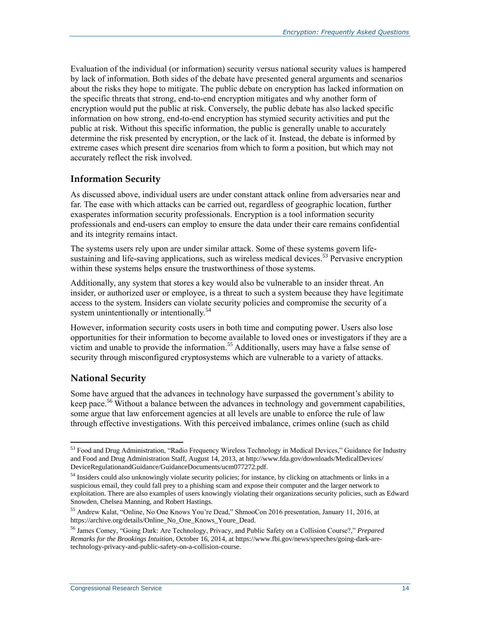Evaluation of the individual (or information) security versus national security values is hampered by lack of information. Both sides of the debate have presented general arguments and scenarios about the risks they hope to mitigate. The public debate on encryption has lacked information on the specific threats that strong, end-to-end encryption mitigates and why another form of encryption would put the public at risk. Conversely, the public debate has also lacked specific information on how strong, end-to-end encryption has stymied security activities and put the public at risk. Without this specific information, the public is generally unable to accurately determine the risk presented by encryption, or the lack of it. Instead, the debate is informed by extreme cases which present dire scenarios from which to form a position, but which may not accurately reflect the risk involved.

#### **Information Security**

As discussed above, individual users are under constant attack online from adversaries near and far. The ease with which attacks can be carried out, regardless of geographic location, further exasperates information security professionals. Encryption is a tool information security professionals and end-users can employ to ensure the data under their care remains confidential and its integrity remains intact.

The systems users rely upon are under similar attack. Some of these systems govern lifesustaining and life-saving applications, such as wireless medical devices.<sup>53</sup> Pervasive encryption within these systems helps ensure the trustworthiness of those systems.

Additionally, any system that stores a key would also be vulnerable to an insider threat. An insider, or authorized user or employee, is a threat to such a system because they have legitimate access to the system. Insiders can violate security policies and compromise the security of a system unintentionally or intentionally.<sup>54</sup>

However, information security costs users in both time and computing power. Users also lose opportunities for their information to become available to loved ones or investigators if they are a victim and unable to provide the information.<sup>55</sup> Additionally, users may have a false sense of security through misconfigured cryptosystems which are vulnerable to a variety of attacks.

#### **National Security**

 $\overline{a}$ 

Some have argued that the advances in technology have surpassed the government's ability to keep pace.<sup>56</sup> Without a balance between the advances in technology and government capabilities, some argue that law enforcement agencies at all levels are unable to enforce the rule of law through effective investigations. With this perceived imbalance, crimes online (such as child

<sup>&</sup>lt;sup>53</sup> Food and Drug Administration, "Radio Frequency Wireless Technology in Medical Devices," Guidance for Industry and Food and Drug Administration Staff, August 14, 2013, at http://www.fda.gov/downloads/MedicalDevices/ DeviceRegulationandGuidance/GuidanceDocuments/ucm077272.pdf.

<sup>&</sup>lt;sup>54</sup> Insiders could also unknowingly violate security policies; for instance, by clicking on attachments or links in a suspicious email, they could fall prey to a phishing scam and expose their computer and the larger network to exploitation. There are also examples of users knowingly violating their organizations security policies, such as Edward Snowden, Chelsea Manning, and Robert Hastings.

<sup>55</sup> Andrew Kalat, "Online, No One Knows You're Dead," ShmooCon 2016 presentation, January 11, 2016, at https://archive.org/details/Online\_No\_One\_Knows\_Youre\_Dead.

<sup>56</sup> James Comey, "Going Dark: Are Technology, Privacy, and Public Safety on a Collision Course?," *Prepared Remarks for the Brookings Intuition*, October 16, 2014, at https://www.fbi.gov/news/speeches/going-dark-aretechnology-privacy-and-public-safety-on-a-collision-course.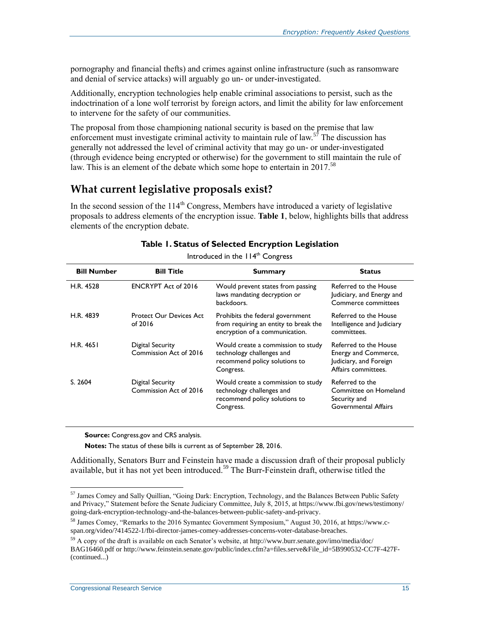pornography and financial thefts) and crimes against online infrastructure (such as ransomware and denial of service attacks) will arguably go un- or under-investigated.

Additionally, encryption technologies help enable criminal associations to persist, such as the indoctrination of a lone wolf terrorist by foreign actors, and limit the ability for law enforcement to intervene for the safety of our communities.

The proposal from those championing national security is based on the premise that law enforcement must investigate criminal activity to maintain rule of law.<sup>57</sup> The discussion has generally not addressed the level of criminal activity that may go un- or under-investigated (through evidence being encrypted or otherwise) for the government to still maintain the rule of law. This is an element of the debate which some hope to entertain in 2017.<sup>58</sup>

#### **What current legislative proposals exist?**

In the second session of the  $114<sup>th</sup>$  Congress, Members have introduced a variety of legislative proposals to address elements of the encryption issue. **[Table 1](#page-17-0)**, below, highlights bills that address elements of the encryption debate.

<span id="page-17-0"></span>

|                    |                                            | ິ                                                                                                             |                                                                                                |
|--------------------|--------------------------------------------|---------------------------------------------------------------------------------------------------------------|------------------------------------------------------------------------------------------------|
| <b>Bill Number</b> | <b>Bill Title</b>                          | <b>Summary</b>                                                                                                | <b>Status</b>                                                                                  |
| H.R. 4528          | <b>ENCRYPT Act of 2016</b>                 | Would prevent states from passing<br>laws mandating decryption or<br>backdoors.                               | Referred to the House<br>Judiciary, and Energy and<br>Commerce committees                      |
| H.R. 4839          | <b>Protect Our Devices Act</b><br>of 2016  | Prohibits the federal government<br>from requiring an entity to break the<br>encryption of a communication.   | Referred to the House<br>Intelligence and Judiciary<br>committees.                             |
| H.R. 4651          | Digital Security<br>Commission Act of 2016 | Would create a commission to study<br>technology challenges and<br>recommend policy solutions to<br>Congress. | Referred to the House<br>Energy and Commerce,<br>Judiciary, and Foreign<br>Affairs committees. |
| S. 2604            | Digital Security<br>Commission Act of 2016 | Would create a commission to study<br>technology challenges and<br>recommend policy solutions to<br>Congress. | Referred to the<br>Committee on Homeland<br>Security and<br>Governmental Affairs               |

#### **Table 1. Status of Selected Encryption Legislation**

Introduced in the  $114<sup>th</sup>$  Congress

**Source:** Congress.gov and CRS analysis.

**Notes:** The status of these bills is current as of September 28, 2016.

Additionally, Senators Burr and Feinstein have made a discussion draft of their proposal publicly available, but it has not yet been introduced.<sup>59</sup> The Burr-Feinstein draft, otherwise titled the

<sup>&</sup>lt;sup>57</sup> James Comey and Sally Quillian, "Going Dark: Encryption, Technology, and the Balances Between Public Safety and Privacy," Statement before the Senate Judiciary Committee, July 8, 2015, at https://www.fbi.gov/news/testimony/ going-dark-encryption-technology-and-the-balances-between-public-safety-and-privacy.

<sup>58</sup> James Comey, "Remarks to the 2016 Symantec Government Symposium," August 30, 2016, at https://www.cspan.org/video/?414522-1/fbi-director-james-comey-addresses-concerns-voter-database-breaches.

<sup>59</sup> A copy of the draft is available on each Senator's website, at http://www.burr.senate.gov/imo/media/doc/ BAG16460.pdf or http://www.feinstein.senate.gov/public/index.cfm?a=files.serve&File\_id=5B990532-CC7F-427F- (continued...)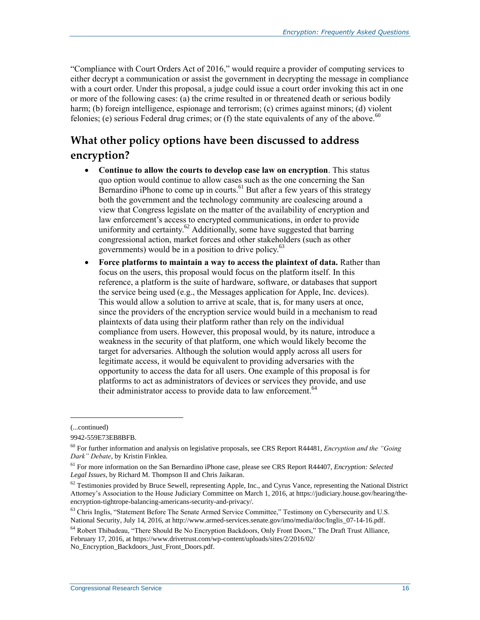"Compliance with Court Orders Act of 2016," would require a provider of computing services to either decrypt a communication or assist the government in decrypting the message in compliance with a court order. Under this proposal, a judge could issue a court order invoking this act in one or more of the following cases: (a) the crime resulted in or threatened death or serious bodily harm; (b) foreign intelligence, espionage and terrorism; (c) crimes against minors; (d) violent felonies; (e) serious Federal drug crimes; or (f) the state equivalents of any of the above.<sup>60</sup>

## **What other policy options have been discussed to address encryption?**

- **Continue to allow the courts to develop case law on encryption**. This status quo option would continue to allow cases such as the one concerning the San Bernardino iPhone to come up in courts.<sup>61</sup> But after a few years of this strategy both the government and the technology community are coalescing around a view that Congress legislate on the matter of the availability of encryption and law enforcement's access to encrypted communications, in order to provide uniformity and certainty.<sup>62</sup> Additionally, some have suggested that barring congressional action, market forces and other stakeholders (such as other governments) would be in a position to drive policy.<sup>63</sup>
- **Force platforms to maintain a way to access the plaintext of data.** Rather than focus on the users, this proposal would focus on the platform itself. In this reference, a platform is the suite of hardware, software, or databases that support the service being used (e.g., the Messages application for Apple, Inc. devices). This would allow a solution to arrive at scale, that is, for many users at once, since the providers of the encryption service would build in a mechanism to read plaintexts of data using their platform rather than rely on the individual compliance from users. However, this proposal would, by its nature, introduce a weakness in the security of that platform, one which would likely become the target for adversaries. Although the solution would apply across all users for legitimate access, it would be equivalent to providing adversaries with the opportunity to access the data for all users. One example of this proposal is for platforms to act as administrators of devices or services they provide, and use their administrator access to provide data to law enforcement.<sup>64</sup>

l

<sup>(...</sup>continued)

<sup>9942-559</sup>E73EB8BFB.

<sup>60</sup> For further information and analysis on legislative proposals, see CRS Report R44481, *Encryption and the "Going Dark" Debate*, by Kristin Finklea.

<sup>61</sup> For more information on the San Bernardino iPhone case, please see CRS Report R44407, *Encryption: Selected Legal Issues*, by Richard M. Thompson II and Chris Jaikaran.

 $62$  Testimonies provided by Bruce Sewell, representing Apple, Inc., and Cyrus Vance, representing the National District Attorney's Association to the House Judiciary Committee on March 1, 2016, at https://judiciary.house.gov/hearing/theencryption-tightrope-balancing-americans-security-and-privacy/.

<sup>&</sup>lt;sup>63</sup> Chris Inglis, "Statement Before The Senate Armed Service Committee," Testimony on Cybersecurity and U.S. National Security, July 14, 2016, at http://www.armed-services.senate.gov/imo/media/doc/Inglis\_07-14-16.pdf.

<sup>64</sup> Robert Thibadeau, "There Should Be No Encryption Backdoors, Only Front Doors," The Draft Trust Alliance, February 17, 2016, at https://www.drivetrust.com/wp-content/uploads/sites/2/2016/02/ No\_Encryption\_Backdoors\_Just\_Front\_Doors.pdf.